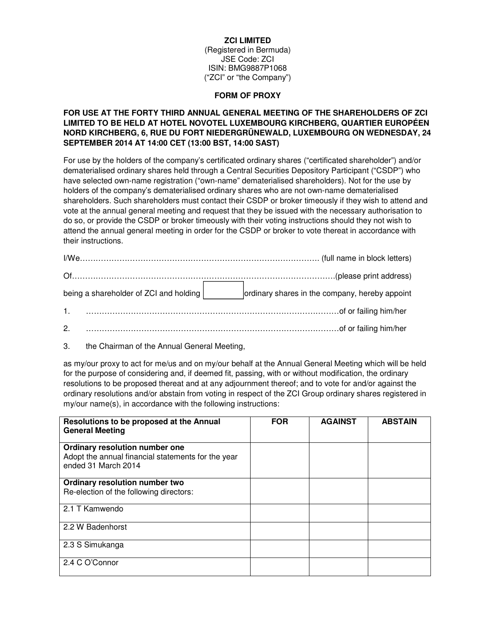### **ZCI LIMITED**

(Registered in Bermuda) JSE Code: ZCI ISIN: BMG9887P1068 ("ZCI" or "the Company")

#### **FORM OF PROXY**

# **FOR USE AT THE FORTY THIRD ANNUAL GENERAL MEETING OF THE SHAREHOLDERS OF ZCI LIMITED TO BE HELD AT HOTEL NOVOTEL LUXEMBOURG KIRCHBERG, QUARTIER EUROPÉEN NORD KIRCHBERG, 6, RUE DU FORT NIEDERGRÜNEWALD, LUXEMBOURG ON WEDNESDAY, 24 SEPTEMBER 2014 AT 14:00 CET (13:00 BST, 14:00 SAST)**

For use by the holders of the company's certificated ordinary shares ("certificated shareholder") and/or dematerialised ordinary shares held through a Central Securities Depository Participant ("CSDP") who have selected own-name registration ("own-name" dematerialised shareholders). Not for the use by holders of the company's dematerialised ordinary shares who are not own-name dematerialised shareholders. Such shareholders must contact their CSDP or broker timeously if they wish to attend and vote at the annual general meeting and request that they be issued with the necessary authorisation to do so, or provide the CSDP or broker timeously with their voting instructions should they not wish to attend the annual general meeting in order for the CSDP or broker to vote thereat in accordance with their instructions.

| being a shareholder of ZCI and holding | ordinary shares in the company, hereby appoint                                                                                                                                                                                 |
|----------------------------------------|--------------------------------------------------------------------------------------------------------------------------------------------------------------------------------------------------------------------------------|
| 1 <sup>1</sup>                         | de or failing him/her contains the contract of the contract of the contract of the contract of the contract of the contract of the contract of the contract of the contract of the contract of the contract of the contract of |
| 2.                                     | of or failing him/her contains and the contact of the contact of the contact of the contact of the contact of the contact of the contact of the contact of the contact of the contact of the contact of the contact of the con |

3. the Chairman of the Annual General Meeting,

as my/our proxy to act for me/us and on my/our behalf at the Annual General Meeting which will be held for the purpose of considering and, if deemed fit, passing, with or without modification, the ordinary resolutions to be proposed thereat and at any adjournment thereof; and to vote for and/or against the ordinary resolutions and/or abstain from voting in respect of the ZCI Group ordinary shares registered in my/our name(s), in accordance with the following instructions:

| Resolutions to be proposed at the Annual<br><b>General Meeting</b>                                          | <b>FOR</b> | <b>AGAINST</b> | <b>ABSTAIN</b> |
|-------------------------------------------------------------------------------------------------------------|------------|----------------|----------------|
| Ordinary resolution number one<br>Adopt the annual financial statements for the year<br>ended 31 March 2014 |            |                |                |
| Ordinary resolution number two                                                                              |            |                |                |
| Re-election of the following directors:                                                                     |            |                |                |
| 2.1 T Kamwendo                                                                                              |            |                |                |
| 2.2 W Badenhorst                                                                                            |            |                |                |
| 2.3 S Simukanga                                                                                             |            |                |                |
| 2.4 C O'Connor                                                                                              |            |                |                |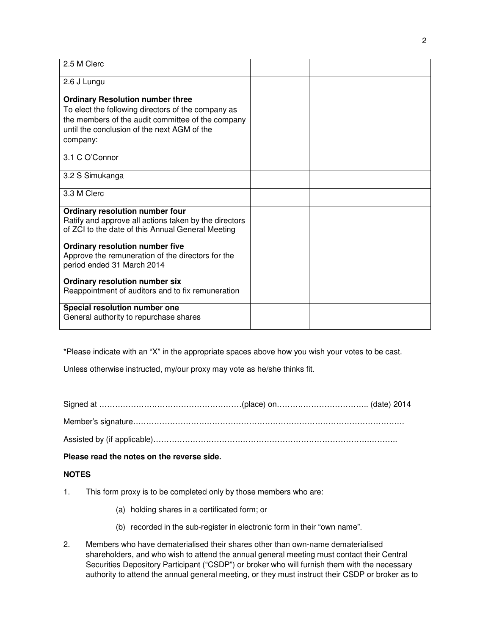| 2.5 M Clerc                                                                                                                                                                                                   |  |  |
|---------------------------------------------------------------------------------------------------------------------------------------------------------------------------------------------------------------|--|--|
| 2.6 J Lungu                                                                                                                                                                                                   |  |  |
| <b>Ordinary Resolution number three</b><br>To elect the following directors of the company as<br>the members of the audit committee of the company<br>until the conclusion of the next AGM of the<br>company: |  |  |
| 3.1 C O'Connor                                                                                                                                                                                                |  |  |
| 3.2 S Simukanga                                                                                                                                                                                               |  |  |
| 3.3 M Clerc                                                                                                                                                                                                   |  |  |
| Ordinary resolution number four<br>Ratify and approve all actions taken by the directors<br>of ZCI to the date of this Annual General Meeting                                                                 |  |  |
| Ordinary resolution number five<br>Approve the remuneration of the directors for the<br>period ended 31 March 2014                                                                                            |  |  |
| Ordinary resolution number six<br>Reappointment of auditors and to fix remuneration                                                                                                                           |  |  |
| Special resolution number one<br>General authority to repurchase shares                                                                                                                                       |  |  |

\*Please indicate with an "X" in the appropriate spaces above how you wish your votes to be cast.

Unless otherwise instructed, my/our proxy may vote as he/she thinks fit.

Signed at ………………………………………………(place) on…………………………….. (date) 2014

Member's signature………………………………………………………………………………………….

Assisted by (if applicable)……………………………………………………………………….………..

**Please read the notes on the reverse side.** 

# **NOTES**

- 1. This form proxy is to be completed only by those members who are:
	- (a) holding shares in a certificated form; or
	- (b) recorded in the sub-register in electronic form in their "own name".
- 2. Members who have dematerialised their shares other than own-name dematerialised shareholders, and who wish to attend the annual general meeting must contact their Central Securities Depository Participant ("CSDP") or broker who will furnish them with the necessary authority to attend the annual general meeting, or they must instruct their CSDP or broker as to